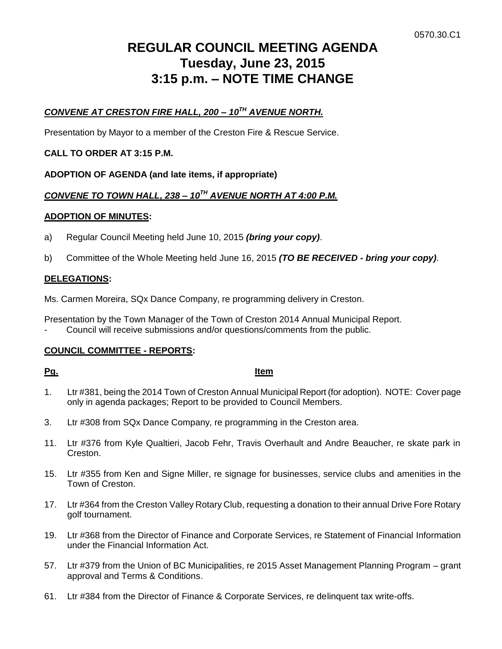# **REGULAR COUNCIL MEETING AGENDA Tuesday, June 23, 2015 3:15 p.m. – NOTE TIME CHANGE**

# *CONVENE AT CRESTON FIRE HALL, 200 – 10TH AVENUE NORTH.*

Presentation by Mayor to a member of the Creston Fire & Rescue Service.

# **CALL TO ORDER AT 3:15 P.M.**

**ADOPTION OF AGENDA (and late items, if appropriate)**

# *CONVENE TO TOWN HALL, 238 – 10TH AVENUE NORTH AT 4:00 P.M.*

# **ADOPTION OF MINUTES:**

- a) Regular Council Meeting held June 10, 2015 *(bring your copy)*.
- b) Committee of the Whole Meeting held June 16, 2015 *(TO BE RECEIVED - bring your copy)*.

# **DELEGATIONS:**

Ms. Carmen Moreira, SQx Dance Company, re programming delivery in Creston.

Presentation by the Town Manager of the Town of Creston 2014 Annual Municipal Report.

Council will receive submissions and/or questions/comments from the public.

# **COUNCIL COMMITTEE - REPORTS:**

### **Pg. Item**

- 1. Ltr #381, being the 2014 Town of Creston Annual Municipal Report (for adoption). NOTE: Cover page only in agenda packages; Report to be provided to Council Members.
- 3. Ltr #308 from SQx Dance Company, re programming in the Creston area.
- 11. Ltr #376 from Kyle Qualtieri, Jacob Fehr, Travis Overhault and Andre Beaucher, re skate park in Creston.
- 15. Ltr #355 from Ken and Signe Miller, re signage for businesses, service clubs and amenities in the Town of Creston.
- 17. Ltr #364 from the Creston Valley Rotary Club, requesting a donation to their annual Drive Fore Rotary golf tournament.
- 19. Ltr #368 from the Director of Finance and Corporate Services, re Statement of Financial Information under the Financial Information Act.
- 57. Ltr #379 from the Union of BC Municipalities, re 2015 Asset Management Planning Program grant approval and Terms & Conditions.
- 61. Ltr #384 from the Director of Finance & Corporate Services, re delinquent tax write-offs.